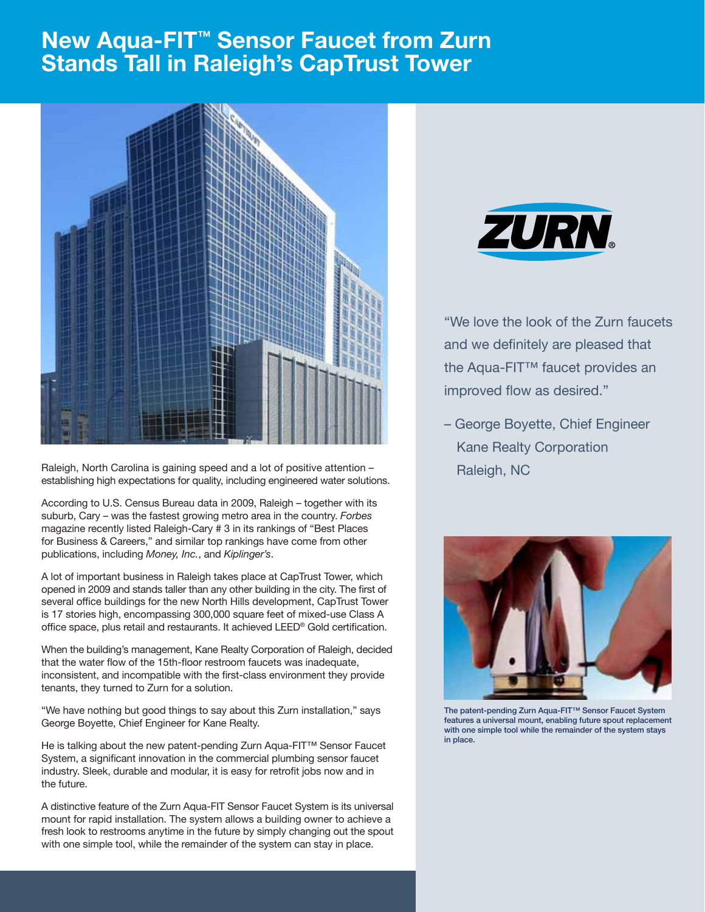## **New Aqua-FIT<sup>™</sup> Sensor Faucet from Zurn** Stands Tall in Raleigh's CapTrust Tower



Raleigh, North Carolina is gaining speed and a lot of positive attention – establishing high expectations for quality, including engineered water solutions.

According to U.S. Census Bureau data in 2009, Raleigh – together with its suburb, Cary – was the fastest growing metro area in the country. *Forbes* magazine recently listed Raleigh-Cary # 3 in its rankings of "Best Places for Business & Careers," and similar top rankings have come from other publications, including *Money, Inc.*, and *Kiplinger's*.

A lot of important business in Raleigh takes place at CapTrust Tower, which opened in 2009 and stands taller than any other building in the city. The first of several office buildings for the new North Hills development, CapTrust Tower is 17 stories high, encompassing 300,000 square feet of mixed-use Class A office space, plus retail and restaurants. It achieved LEED® Gold certification.

When the building's management, Kane Realty Corporation of Raleigh, decided that the water flow of the 15th-floor restroom faucets was inadequate, inconsistent, and incompatible with the first-class environment they provide tenants, they turned to Zurn for a solution.

"We have nothing but good things to say about this Zurn installation," says George Boyette, Chief Engineer for Kane Realty.

He is talking about the new patent-pending Zurn Aqua-FIT™ Sensor Faucet System, a significant innovation in the commercial plumbing sensor faucet industry. Sleek, durable and modular, it is easy for retrofit jobs now and in the future.

A distinctive feature of the Zurn Aqua-FIT Sensor Faucet System is its universal mount for rapid installation. The system allows a building owner to achieve a fresh look to restrooms anytime in the future by simply changing out the spout with one simple tool, while the remainder of the system can stay in place.



"We love the look of the Zurn faucets and we definitely are pleased that the Aqua-FIT™ faucet provides an improved flow as desired."

– George Boyette, Chief Engineer Kane Realty Corporation Raleigh, NC



The patent-pending Zurn Aqua-FIT™ Sensor Faucet System features a universal mount, enabling future spout replacement with one simple tool while the remainder of the system stays in place.